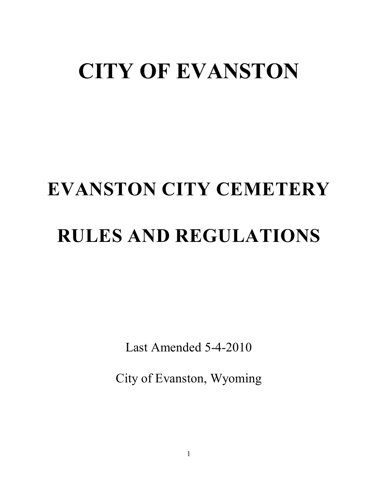# **CITY OF EVANSTON**

# **EVANSTON CITY CEMETERY RULES AND REGULATIONS**

Last Amended 5-4-2010

City of Evanston, Wyoming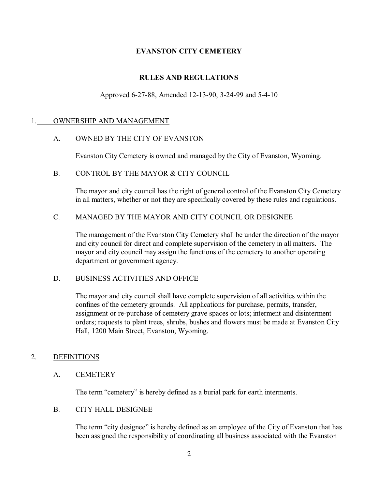# **EVANSTON CITY CEMETERY**

# **RULES AND REGULATIONS**

#### Approved 6-27-88, Amended 12-13-90, 3-24-99 and 5-4-10

#### 1. OWNERSHIP AND MANAGEMENT

#### A. OWNED BY THE CITY OF EVANSTON

Evanston City Cemetery is owned and managed by the City of Evanston, Wyoming.

#### B. CONTROL BY THE MAYOR & CITY COUNCIL

The mayor and city council has the right of general control of the Evanston City Cemetery in all matters, whether or not they are specifically covered by these rules and regulations.

#### C. MANAGED BY THE MAYOR AND CITY COUNCIL OR DESIGNEE

The management of the Evanston City Cemetery shall be under the direction of the mayor and city council for direct and complete supervision of the cemetery in all matters. The mayor and city council may assign the functions of the cemetery to another operating department or government agency.

#### D. BUSINESS ACTIVITIES AND OFFICE

The mayor and city council shall have complete supervision of all activities within the confines of the cemetery grounds. All applications for purchase, permits, transfer, assignment or re-purchase of cemetery grave spaces or lots; interment and disinterment orders; requests to plant trees, shrubs, bushes and flowers must be made at Evanston City Hall, 1200 Main Street, Evanston, Wyoming.

#### 2. DEFINITIONS

#### A. CEMETERY

The term "cemetery" is hereby defined as a burial park for earth interments.

#### B. CITY HALL DESIGNEE

The term "city designee" is hereby defined as an employee of the City of Evanston that has been assigned the responsibility of coordinating all business associated with the Evanston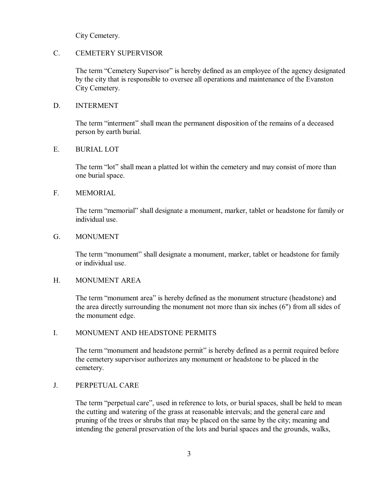City Cemetery.

#### C. CEMETERY SUPERVISOR

The term "Cemetery Supervisor" is hereby defined as an employee of the agency designated by the city that is responsible to oversee all operations and maintenance of the Evanston City Cemetery.

#### D. INTERMENT

The term "interment" shall mean the permanent disposition of the remains of a deceased person by earth burial.

#### E. BURIAL LOT

The term "lot" shall mean a platted lot within the cemetery and may consist of more than one burial space.

#### F. MEMORIAL

The term "memorial" shall designate a monument, marker, tablet or headstone for family or individual use.

#### G. MONUMENT

The term "monument" shall designate a monument, marker, tablet or headstone for family or individual use.

#### H. MONUMENT AREA

The term "monument area" is hereby defined as the monument structure (headstone) and the area directly surrounding the monument not more than six inches (6") from all sides of the monument edge.

#### I. MONUMENT AND HEADSTONE PERMITS

The term "monument and headstone permit" is hereby defined as a permit required before the cemetery supervisor authorizes any monument or headstone to be placed in the cemetery.

#### J. PERPETUAL CARE

The term "perpetual care", used in reference to lots, or burial spaces, shall be held to mean the cutting and watering of the grass at reasonable intervals; and the general care and pruning of the trees or shrubs that may be placed on the same by the city; meaning and intending the general preservation of the lots and burial spaces and the grounds, walks,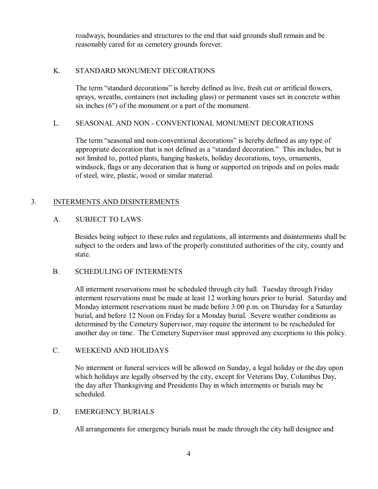roadways, boundaries and structures to the end that said grounds shall remain and be reasonably cared for as cemetery grounds forever.

# K. STANDARD MONUMENT DECORATIONS

The term "standard decorations" is hereby defined as live, fresh cut or artificial flowers, sprays, wreaths, containers (not including glass) or permanent vases set in concrete within six inches (6") of the monument or a part of the monument.

# L. SEASONAL AND NON - CONVENTIONAL MONUMENT DECORATIONS

The term "seasonal and non-conventional decorations" is hereby defined as any type of appropriate decoration that is not defined as a "standard decoration." This includes, but is not limited to, potted plants, hanging baskets, holiday decorations, toys, ornaments, windsock, flags or any decoration that is hung or supported on tripods and on poles made of steel, wire, plastic, wood or similar material.

# 3. INTERMENTS AND DISINTERMENTS

# A. SUBJECT TO LAWS

Besides being subject to these rules and regulations, all interments and disinterments shall be subject to the orders and laws of the properly constituted authorities of the city, county and state.

# B. SCHEDULING OF INTERMENTS

All interment reservations must be scheduled through city hall. Tuesday through Friday interment reservations must be made at least 12 working hours prior to burial. Saturday and Monday interment reservations must be made before 3:00 p.m. on Thursday for a Saturday burial, and before 12 Noon on Friday for a Monday burial. Severe weather conditions as determined by the Cemetery Supervisor, may require the interment to be rescheduled for another day or time. The Cemetery Supervisor must approved any exceptions to this policy.

# C. WEEKEND AND HOLIDAYS

No interment or funeral services will be allowed on Sunday, a legal holiday or the day upon which holidays are legally observed by the city, except for Veterans Day, Columbus Day, the day after Thanksgiving and Presidents Day in which interments or burials may be scheduled.

### D. EMERGENCY BURIALS

All arrangements for emergency burials must be made through the city hall designee and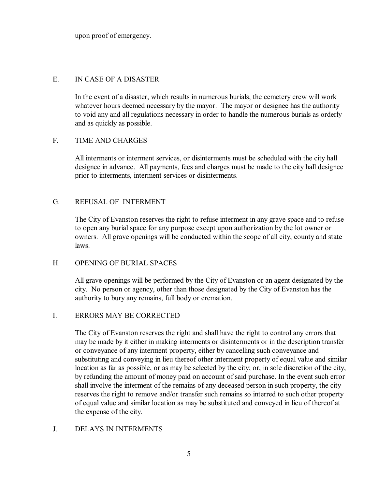upon proof of emergency.

#### E. IN CASE OF A DISASTER

In the event of a disaster, which results in numerous burials, the cemetery crew will work whatever hours deemed necessary by the mayor. The mayor or designee has the authority to void any and all regulations necessary in order to handle the numerous burials as orderly and as quickly as possible.

#### F. TIME AND CHARGES

All interments or interment services, or disinterments must be scheduled with the city hall designee in advance. All payments, fees and charges must be made to the city hall designee prior to interments, interment services or disinterments.

### G. REFUSAL OF INTERMENT

The City of Evanston reserves the right to refuse interment in any grave space and to refuse to open any burial space for any purpose except upon authorization by the lot owner or owners. All grave openings will be conducted within the scope of all city, county and state laws.

#### H. OPENING OF BURIAL SPACES

All grave openings will be performed by the City of Evanston or an agent designated by the city. No person or agency, other than those designated by the City of Evanston has the authority to bury any remains, full body or cremation.

#### I. ERRORS MAY BE CORRECTED

The City of Evanston reserves the right and shall have the right to control any errors that may be made by it either in making interments or disinterments or in the description transfer or conveyance of any interment property, either by cancelling such conveyance and substituting and conveying in lieu thereof other interment property of equal value and similar location as far as possible, or as may be selected by the city; or, in sole discretion of the city, by refunding the amount of money paid on account of said purchase. In the event such error shall involve the interment of the remains of any deceased person in such property, the city reserves the right to remove and/or transfer such remains so interred to such other property of equal value and similar location as may be substituted and conveyed in lieu of thereof at the expense of the city.

#### J. DELAYS IN INTERMENTS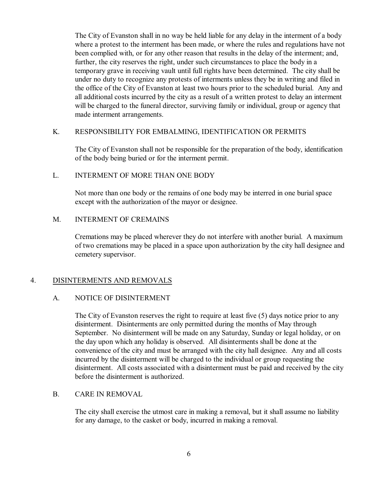The City of Evanston shall in no way be held liable for any delay in the interment of a body where a protest to the interment has been made, or where the rules and regulations have not been complied with, or for any other reason that results in the delay of the interment; and, further, the city reserves the right, under such circumstances to place the body in a temporary grave in receiving vault until full rights have been determined. The city shall be under no duty to recognize any protests of interments unless they be in writing and filed in the office of the City of Evanston at least two hours prior to the scheduled burial. Any and all additional costs incurred by the city as a result of a written protest to delay an interment will be charged to the funeral director, surviving family or individual, group or agency that made interment arrangements.

#### K. RESPONSIBILITY FOR EMBALMING, IDENTIFICATION OR PERMITS

The City of Evanston shall not be responsible for the preparation of the body, identification of the body being buried or for the interment permit.

#### L. INTERMENT OF MORE THAN ONE BODY

Not more than one body or the remains of one body may be interred in one burial space except with the authorization of the mayor or designee.

#### M. INTERMENT OF CREMAINS

Cremations may be placed wherever they do not interfere with another burial. A maximum of two cremations may be placed in a space upon authorization by the city hall designee and cemetery supervisor.

#### 4. DISINTERMENTS AND REMOVALS

#### A. NOTICE OF DISINTERMENT

The City of Evanston reserves the right to require at least five (5) days notice prior to any disinterment. Disinterments are only permitted during the months of May through September. No disinterment will be made on any Saturday, Sunday or legal holiday, or on the day upon which any holiday is observed. All disinterments shall be done at the convenience of the city and must be arranged with the city hall designee. Any and all costs incurred by the disinterment will be charged to the individual or group requesting the disinterment. All costs associated with a disinterment must be paid and received by the city before the disinterment is authorized.

#### B. CARE IN REMOVAL

The city shall exercise the utmost care in making a removal, but it shall assume no liability for any damage, to the casket or body, incurred in making a removal.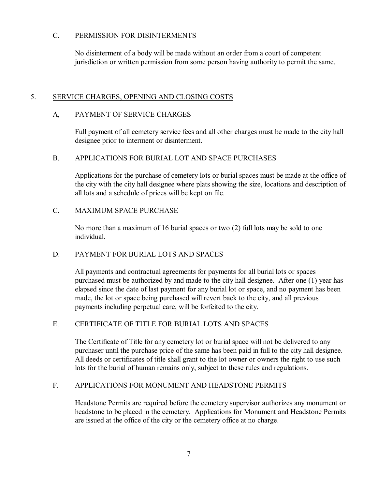# C. PERMISSION FOR DISINTERMENTS

No disinterment of a body will be made without an order from a court of competent jurisdiction or written permission from some person having authority to permit the same.

# 5. SERVICE CHARGES, OPENING AND CLOSING COSTS

# A, PAYMENT OF SERVICE CHARGES

Full payment of all cemetery service fees and all other charges must be made to the city hall designee prior to interment or disinterment.

#### B. APPLICATIONS FOR BURIAL LOT AND SPACE PURCHASES

Applications for the purchase of cemetery lots or burial spaces must be made at the office of the city with the city hall designee where plats showing the size, locations and description of all lots and a schedule of prices will be kept on file.

# C. MAXIMUM SPACE PURCHASE

No more than a maximum of 16 burial spaces or two (2) full lots may be sold to one individual.

# D. PAYMENT FOR BURIAL LOTS AND SPACES

All payments and contractual agreements for payments for all burial lots or spaces purchased must be authorized by and made to the city hall designee. After one (1) year has elapsed since the date of last payment for any burial lot or space, and no payment has been made, the lot or space being purchased will revert back to the city, and all previous payments including perpetual care, will be forfeited to the city.

# E. CERTIFICATE OF TITLE FOR BURIAL LOTS AND SPACES

The Certificate of Title for any cemetery lot or burial space will not be delivered to any purchaser until the purchase price of the same has been paid in full to the city hall designee. All deeds or certificates of title shall grant to the lot owner or owners the right to use such lots for the burial of human remains only, subject to these rules and regulations.

#### F. APPLICATIONS FOR MONUMENT AND HEADSTONE PERMITS

Headstone Permits are required before the cemetery supervisor authorizes any monument or headstone to be placed in the cemetery. Applications for Monument and Headstone Permits are issued at the office of the city or the cemetery office at no charge.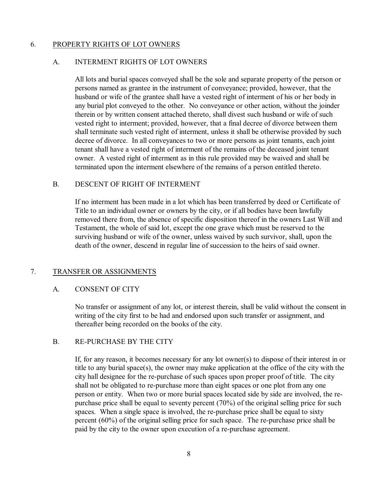### 6. PROPERTY RIGHTS OF LOT OWNERS

#### A. INTERMENT RIGHTS OF LOT OWNERS

All lots and burial spaces conveyed shall be the sole and separate property of the person or persons named as grantee in the instrument of conveyance; provided, however, that the husband or wife of the grantee shall have a vested right of interment of his or her body in any burial plot conveyed to the other. No conveyance or other action, without the joinder therein or by written consent attached thereto, shall divest such husband or wife of such vested right to interment; provided, however, that a final decree of divorce between them shall terminate such vested right of interment, unless it shall be otherwise provided by such decree of divorce. In all conveyances to two or more persons as joint tenants, each joint tenant shall have a vested right of interment of the remains of the deceased joint tenant owner. A vested right of interment as in this rule provided may be waived and shall be terminated upon the interment elsewhere of the remains of a person entitled thereto.

#### B. DESCENT OF RIGHT OF INTERMENT

If no interment has been made in a lot which has been transferred by deed or Certificate of Title to an individual owner or owners by the city, or if all bodies have been lawfully removed there from, the absence of specific disposition thereof in the owners Last Will and Testament, the whole of said lot, except the one grave which must be reserved to the surviving husband or wife of the owner, unless waived by such survivor, shall, upon the death of the owner, descend in regular line of succession to the heirs of said owner.

#### 7. TRANSFER OR ASSIGNMENTS

#### A. CONSENT OF CITY

No transfer or assignment of any lot, or interest therein, shall be valid without the consent in writing of the city first to be had and endorsed upon such transfer or assignment, and thereafter being recorded on the books of the city.

#### B. RE-PURCHASE BY THE CITY

If, for any reason, it becomes necessary for any lot owner(s) to dispose of their interest in or title to any burial space(s), the owner may make application at the office of the city with the city hall designee for the re-purchase of such spaces upon proper proof of title. The city shall not be obligated to re-purchase more than eight spaces or one plot from any one person or entity. When two or more burial spaces located side by side are involved, the repurchase price shall be equal to seventy percent (70%) of the original selling price for such spaces. When a single space is involved, the re-purchase price shall be equal to sixty percent (60%) of the original selling price for such space. The re-purchase price shall be paid by the city to the owner upon execution of a re-purchase agreement.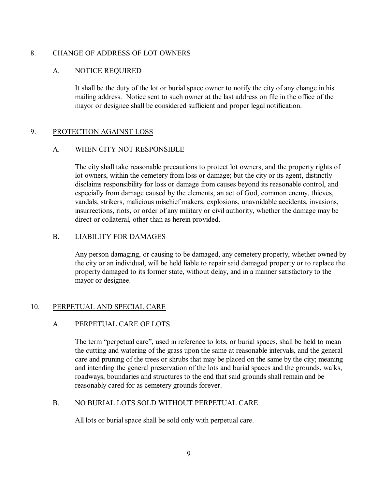# 8. CHANGE OF ADDRESS OF LOT OWNERS

# A. NOTICE REQUIRED

It shall be the duty of the lot or burial space owner to notify the city of any change in his mailing address. Notice sent to such owner at the last address on file in the office of the mayor or designee shall be considered sufficient and proper legal notification.

# 9. PROTECTION AGAINST LOSS

# A. WHEN CITY NOT RESPONSIBLE

The city shall take reasonable precautions to protect lot owners, and the property rights of lot owners, within the cemetery from loss or damage; but the city or its agent, distinctly disclaims responsibility for loss or damage from causes beyond its reasonable control, and especially from damage caused by the elements, an act of God, common enemy, thieves, vandals, strikers, malicious mischief makers, explosions, unavoidable accidents, invasions, insurrections, riots, or order of any military or civil authority, whether the damage may be direct or collateral, other than as herein provided.

# B. LIABILITY FOR DAMAGES

Any person damaging, or causing to be damaged, any cemetery property, whether owned by the city or an individual, will be held liable to repair said damaged property or to replace the property damaged to its former state, without delay, and in a manner satisfactory to the mayor or designee.

# 10. PERPETUAL AND SPECIAL CARE

# A. PERPETUAL CARE OF LOTS

The term "perpetual care", used in reference to lots, or burial spaces, shall be held to mean the cutting and watering of the grass upon the same at reasonable intervals, and the general care and pruning of the trees or shrubs that may be placed on the same by the city; meaning and intending the general preservation of the lots and burial spaces and the grounds, walks, roadways, boundaries and structures to the end that said grounds shall remain and be reasonably cared for as cemetery grounds forever.

# B. NO BURIAL LOTS SOLD WITHOUT PERPETUAL CARE

All lots or burial space shall be sold only with perpetual care.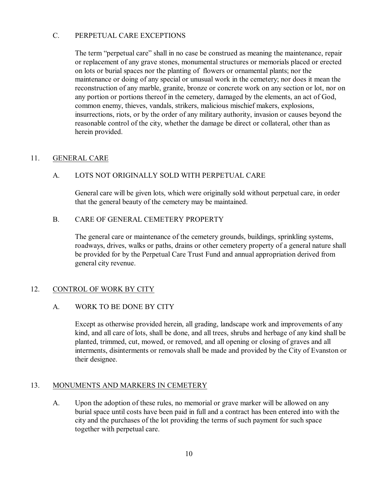# C. PERPETUAL CARE EXCEPTIONS

The term "perpetual care" shall in no case be construed as meaning the maintenance, repair or replacement of any grave stones, monumental structures or memorials placed or erected on lots or burial spaces nor the planting of flowers or ornamental plants; nor the maintenance or doing of any special or unusual work in the cemetery; nor does it mean the reconstruction of any marble, granite, bronze or concrete work on any section or lot, nor on any portion or portions thereof in the cemetery, damaged by the elements, an act of God, common enemy, thieves, vandals, strikers, malicious mischief makers, explosions, insurrections, riots, or by the order of any military authority, invasion or causes beyond the reasonable control of the city, whether the damage be direct or collateral, other than as herein provided.

# 11. GENERAL CARE

# A. LOTS NOT ORIGINALLY SOLD WITH PERPETUAL CARE

General care will be given lots, which were originally sold without perpetual care, in order that the general beauty of the cemetery may be maintained.

# B. CARE OF GENERAL CEMETERY PROPERTY

The general care or maintenance of the cemetery grounds, buildings, sprinkling systems, roadways, drives, walks or paths, drains or other cemetery property of a general nature shall be provided for by the Perpetual Care Trust Fund and annual appropriation derived from general city revenue.

# 12. CONTROL OF WORK BY CITY

# A. WORK TO BE DONE BY CITY

Except as otherwise provided herein, all grading, landscape work and improvements of any kind, and all care of lots, shall be done, and all trees, shrubs and herbage of any kind shall be planted, trimmed, cut, mowed, or removed, and all opening or closing of graves and all interments, disinterments or removals shall be made and provided by the City of Evanston or their designee.

# 13. MONUMENTS AND MARKERS IN CEMETERY

A. Upon the adoption of these rules, no memorial or grave marker will be allowed on any burial space until costs have been paid in full and a contract has been entered into with the city and the purchases of the lot providing the terms of such payment for such space together with perpetual care.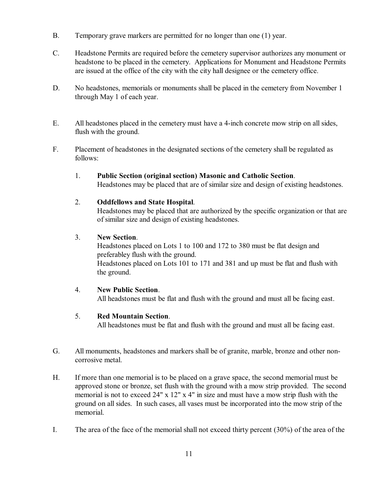- B. Temporary grave markers are permitted for no longer than one (1) year.
- C. Headstone Permits are required before the cemetery supervisor authorizes any monument or headstone to be placed in the cemetery. Applications for Monument and Headstone Permits are issued at the office of the city with the city hall designee or the cemetery office.
- D. No headstones, memorials or monuments shall be placed in the cemetery from November 1 through May 1 of each year.
- E. All headstones placed in the cemetery must have a 4-inch concrete mow strip on all sides, flush with the ground.
- F. Placement of headstones in the designated sections of the cemetery shall be regulated as follows:
	- 1. **Public Section (original section) Masonic and Catholic Section**. Headstones may be placed that are of similar size and design of existing headstones.

# 2. **Oddfellows and State Hospital**.

Headstones may be placed that are authorized by the specific organization or that are of similar size and design of existing headstones.

#### 3. **New Section**.

Headstones placed on Lots 1 to 100 and 172 to 380 must be flat design and preferabley flush with the ground. Headstones placed on Lots 101 to 171 and 381 and up must be flat and flush with the ground.

# 4. **New Public Section**.

All headstones must be flat and flush with the ground and must all be facing east.

# 5. **Red Mountain Section**.

All headstones must be flat and flush with the ground and must all be facing east.

- G. All monuments, headstones and markers shall be of granite, marble, bronze and other noncorrosive metal.
- H. If more than one memorial is to be placed on a grave space, the second memorial must be approved stone or bronze, set flush with the ground with a mow strip provided. The second memorial is not to exceed 24" x 12" x 4" in size and must have a mow strip flush with the ground on all sides. In such cases, all vases must be incorporated into the mow strip of the memorial.
- I. The area of the face of the memorial shall not exceed thirty percent (30%) of the area of the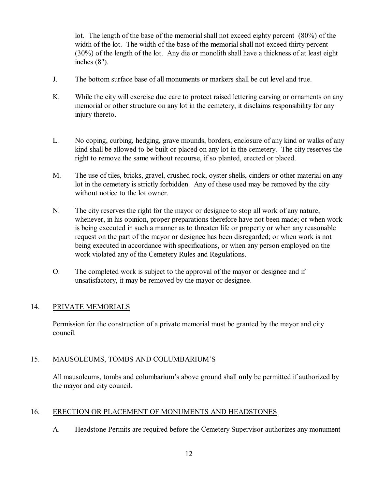lot. The length of the base of the memorial shall not exceed eighty percent (80%) of the width of the lot. The width of the base of the memorial shall not exceed thirty percent (30%) of the length of the lot. Any die or monolith shall have a thickness of at least eight inches (8").

- J. The bottom surface base of all monuments or markers shall be cut level and true.
- K. While the city will exercise due care to protect raised lettering carving or ornaments on any memorial or other structure on any lot in the cemetery, it disclaims responsibility for any injury thereto.
- L. No coping, curbing, hedging, grave mounds, borders, enclosure of any kind or walks of any kind shall be allowed to be built or placed on any lot in the cemetery. The city reserves the right to remove the same without recourse, if so planted, erected or placed.
- M. The use of tiles, bricks, gravel, crushed rock, oyster shells, cinders or other material on any lot in the cemetery is strictly forbidden. Any of these used may be removed by the city without notice to the lot owner.
- N. The city reserves the right for the mayor or designee to stop all work of any nature, whenever, in his opinion, proper preparations therefore have not been made; or when work is being executed in such a manner as to threaten life or property or when any reasonable request on the part of the mayor or designee has been disregarded; or when work is not being executed in accordance with specifications, or when any person employed on the work violated any of the Cemetery Rules and Regulations.
- O. The completed work is subject to the approval of the mayor or designee and if unsatisfactory, it may be removed by the mayor or designee.

# 14. PRIVATE MEMORIALS

Permission for the construction of a private memorial must be granted by the mayor and city council.

# 15. MAUSOLEUMS, TOMBS AND COLUMBARIUM'S

All mausoleums, tombs and columbarium's above ground shall **only** be permitted if authorized by the mayor and city council.

# 16. ERECTION OR PLACEMENT OF MONUMENTS AND HEADSTONES

A. Headstone Permits are required before the Cemetery Supervisor authorizes any monument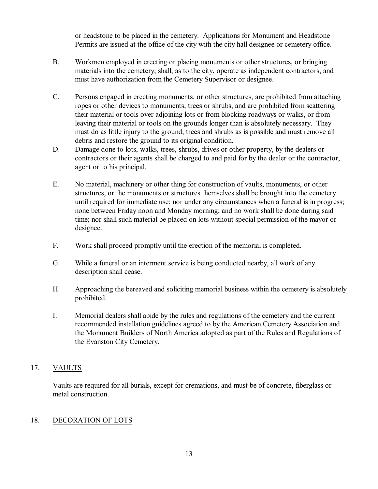or headstone to be placed in the cemetery. Applications for Monument and Headstone Permits are issued at the office of the city with the city hall designee or cemetery office.

- B. Workmen employed in erecting or placing monuments or other structures, or bringing materials into the cemetery, shall, as to the city, operate as independent contractors, and must have authorization from the Cemetery Supervisor or designee.
- C. Persons engaged in erecting monuments, or other structures, are prohibited from attaching ropes or other devices to monuments, trees or shrubs, and are prohibited from scattering their material or tools over adjoining lots or from blocking roadways or walks, or from leaving their material or tools on the grounds longer than is absolutely necessary. They must do as little injury to the ground, trees and shrubs as is possible and must remove all debris and restore the ground to its original condition.
- D. Damage done to lots, walks, trees, shrubs, drives or other property, by the dealers or contractors or their agents shall be charged to and paid for by the dealer or the contractor, agent or to his principal.
- E. No material, machinery or other thing for construction of vaults, monuments, or other structures, or the monuments or structures themselves shall be brought into the cemetery until required for immediate use; nor under any circumstances when a funeral is in progress; none between Friday noon and Monday morning; and no work shall be done during said time; nor shall such material be placed on lots without special permission of the mayor or designee.
- F. Work shall proceed promptly until the erection of the memorial is completed.
- G. While a funeral or an interment service is being conducted nearby, all work of any description shall cease.
- H. Approaching the bereaved and soliciting memorial business within the cemetery is absolutely prohibited.
- I. Memorial dealers shall abide by the rules and regulations of the cemetery and the current recommended installation guidelines agreed to by the American Cemetery Association and the Monument Builders of North America adopted as part of the Rules and Regulations of the Evanston City Cemetery.

# 17. VAULTS

Vaults are required for all burials, except for cremations, and must be of concrete, fiberglass or metal construction.

# 18. DECORATION OF LOTS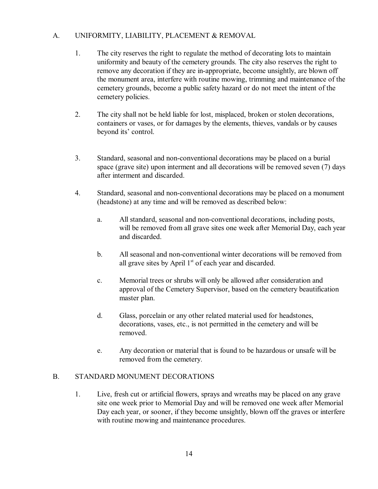# A. UNIFORMITY, LIABILITY, PLACEMENT & REMOVAL

- 1. The city reserves the right to regulate the method of decorating lots to maintain uniformity and beauty of the cemetery grounds. The city also reserves the right to remove any decoration if they are in-appropriate, become unsightly, are blown off the monument area, interfere with routine mowing, trimming and maintenance of the cemetery grounds, become a public safety hazard or do not meet the intent of the cemetery policies.
- 2. The city shall not be held liable for lost, misplaced, broken or stolen decorations, containers or vases, or for damages by the elements, thieves, vandals or by causes beyond its' control.
- 3. Standard, seasonal and non-conventional decorations may be placed on a burial space (grave site) upon interment and all decorations will be removed seven (7) days after interment and discarded.
- 4. Standard, seasonal and non-conventional decorations may be placed on a monument (headstone) at any time and will be removed as described below:
	- a. All standard, seasonal and non-conventional decorations, including posts, will be removed from all grave sites one week after Memorial Day, each year and discarded.
	- b. All seasonal and non-conventional winter decorations will be removed from all grave sites by April  $1<sup>st</sup>$  of each year and discarded.
	- c. Memorial trees or shrubs will only be allowed after consideration and approval of the Cemetery Supervisor, based on the cemetery beautification master plan.
	- d. Glass, porcelain or any other related material used for headstones, decorations, vases, etc., is not permitted in the cemetery and will be removed.
	- e. Any decoration or material that is found to be hazardous or unsafe will be removed from the cemetery.

# B. STANDARD MONUMENT DECORATIONS

1. Live, fresh cut or artificial flowers, sprays and wreaths may be placed on any grave site one week prior to Memorial Day and will be removed one week after Memorial Day each year, or sooner, if they become unsightly, blown off the graves or interfere with routine mowing and maintenance procedures.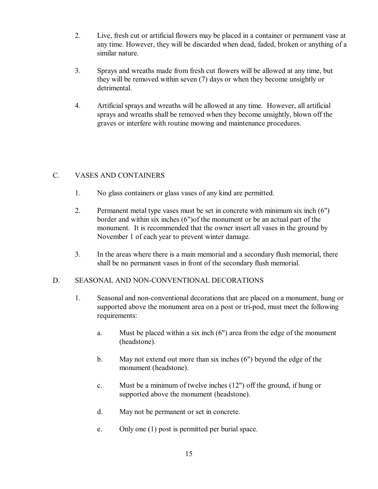- 2. Live, fresh cut or artificial flowers may be placed in a container or permanent vase at any time. However, they will be discarded when dead, faded, broken or anything of a similar nature.
- 3. Sprays and wreaths made from fresh cut flowers will be allowed at any time, but they will be removed within seven (7) days or when they become unsightly or detrimental.
- 4. Artificial sprays and wreaths will be allowed at any time. However, all artificial sprays and wreaths shall be removed when they become unsightly, blown off the graves or interfere with routine mowing and maintenance procedures.

# C. VASES AND CONTAINERS

- 1. No glass containers or glass vases of any kind are permitted.
- 2. Permanent metal type vases must be set in concrete with minimum six inch (6") border and within six inches (6")of the monument or be an actual part of the monument. It is recommended that the owner insert all vases in the ground by November 1 of each year to prevent winter damage.
- 3. In the areas where there is a main memorial and a secondary flush memorial, there shall be no permanent vases in front of the secondary flush memorial.

# D. SEASONAL AND NON-CONVENTIONAL DECORATIONS

- 1. Seasonal and non-conventional decorations that are placed on a monument, hung or supported above the monument area on a post or tri-pod, must meet the following requirements:
	- a. Must be placed within a six inch (6") area from the edge of the monument (headstone).
	- b. May not extend out more than six inches (6") beyond the edge of the monument (headstone).
	- c. Must be a minimum of twelve inches (12") off the ground, if hung or supported above the monument (headstone).
	- d. May not be permanent or set in concrete.
	- e. Only one (1) post is permitted per burial space.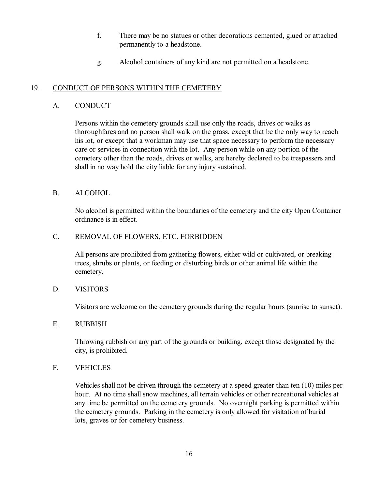- f. There may be no statues or other decorations cemented, glued or attached permanently to a headstone.
- g. Alcohol containers of any kind are not permitted on a headstone.

# 19. CONDUCT OF PERSONS WITHIN THE CEMETERY

# A. CONDUCT

Persons within the cemetery grounds shall use only the roads, drives or walks as thoroughfares and no person shall walk on the grass, except that be the only way to reach his lot, or except that a workman may use that space necessary to perform the necessary care or services in connection with the lot. Any person while on any portion of the cemetery other than the roads, drives or walks, are hereby declared to be trespassers and shall in no way hold the city liable for any injury sustained.

# B. ALCOHOL

No alcohol is permitted within the boundaries of the cemetery and the city Open Container ordinance is in effect.

# C. REMOVAL OF FLOWERS, ETC. FORBIDDEN

All persons are prohibited from gathering flowers, either wild or cultivated, or breaking trees, shrubs or plants, or feeding or disturbing birds or other animal life within the cemetery.

# D. VISITORS

Visitors are welcome on the cemetery grounds during the regular hours (sunrise to sunset).

# E. RUBBISH

Throwing rubbish on any part of the grounds or building, except those designated by the city, is prohibited.

# F. VEHICLES

Vehicles shall not be driven through the cemetery at a speed greater than ten (10) miles per hour. At no time shall snow machines, all terrain vehicles or other recreational vehicles at any time be permitted on the cemetery grounds. No overnight parking is permitted within the cemetery grounds. Parking in the cemetery is only allowed for visitation of burial lots, graves or for cemetery business.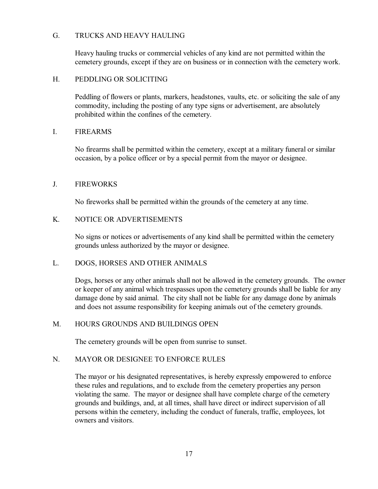### G. TRUCKS AND HEAVY HAULING

Heavy hauling trucks or commercial vehicles of any kind are not permitted within the cemetery grounds, except if they are on business or in connection with the cemetery work.

# H. PEDDLING OR SOLICITING

Peddling of flowers or plants, markers, headstones, vaults, etc. or soliciting the sale of any commodity, including the posting of any type signs or advertisement, are absolutely prohibited within the confines of the cemetery.

# I. FIREARMS

No firearms shall be permitted within the cemetery, except at a military funeral or similar occasion, by a police officer or by a special permit from the mayor or designee.

# J. FIREWORKS

No fireworks shall be permitted within the grounds of the cemetery at any time.

# K. NOTICE OR ADVERTISEMENTS

No signs or notices or advertisements of any kind shall be permitted within the cemetery grounds unless authorized by the mayor or designee.

#### L. DOGS, HORSES AND OTHER ANIMALS

Dogs, horses or any other animals shall not be allowed in the cemetery grounds. The owner or keeper of any animal which trespasses upon the cemetery grounds shall be liable for any damage done by said animal. The city shall not be liable for any damage done by animals and does not assume responsibility for keeping animals out of the cemetery grounds.

# M. HOURS GROUNDS AND BUILDINGS OPEN

The cemetery grounds will be open from sunrise to sunset.

#### N. MAYOR OR DESIGNEE TO ENFORCE RULES

The mayor or his designated representatives, is hereby expressly empowered to enforce these rules and regulations, and to exclude from the cemetery properties any person violating the same. The mayor or designee shall have complete charge of the cemetery grounds and buildings, and, at all times, shall have direct or indirect supervision of all persons within the cemetery, including the conduct of funerals, traffic, employees, lot owners and visitors.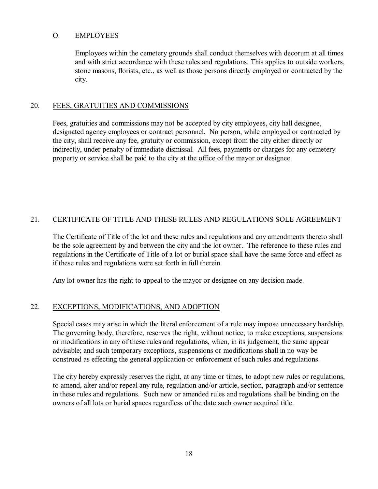#### O. EMPLOYEES

Employees within the cemetery grounds shall conduct themselves with decorum at all times and with strict accordance with these rules and regulations. This applies to outside workers, stone masons, florists, etc., as well as those persons directly employed or contracted by the city.

#### 20. FEES, GRATUITIES AND COMMISSIONS

Fees, gratuities and commissions may not be accepted by city employees, city hall designee, designated agency employees or contract personnel. No person, while employed or contracted by the city, shall receive any fee, gratuity or commission, except from the city either directly or indirectly, under penalty of immediate dismissal. All fees, payments or charges for any cemetery property or service shall be paid to the city at the office of the mayor or designee.

# 21. CERTIFICATE OF TITLE AND THESE RULES AND REGULATIONS SOLE AGREEMENT

The Certificate of Title of the lot and these rules and regulations and any amendments thereto shall be the sole agreement by and between the city and the lot owner. The reference to these rules and regulations in the Certificate of Title of a lot or burial space shall have the same force and effect as if these rules and regulations were set forth in full therein.

Any lot owner has the right to appeal to the mayor or designee on any decision made.

#### 22. EXCEPTIONS, MODIFICATIONS, AND ADOPTION

Special cases may arise in which the literal enforcement of a rule may impose unnecessary hardship. The governing body, therefore, reserves the right, without notice, to make exceptions, suspensions or modifications in any of these rules and regulations, when, in its judgement, the same appear advisable; and such temporary exceptions, suspensions or modifications shall in no way be construed as effecting the general application or enforcement of such rules and regulations.

The city hereby expressly reserves the right, at any time or times, to adopt new rules or regulations, to amend, alter and/or repeal any rule, regulation and/or article, section, paragraph and/or sentence in these rules and regulations. Such new or amended rules and regulations shall be binding on the owners of all lots or burial spaces regardless of the date such owner acquired title.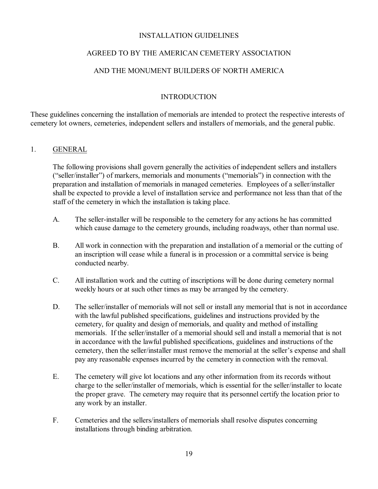### INSTALLATION GUIDELINES

# AGREED TO BY THE AMERICAN CEMETERY ASSOCIATION

# AND THE MONUMENT BUILDERS OF NORTH AMERICA

# **INTRODUCTION**

These guidelines concerning the installation of memorials are intended to protect the respective interests of cemetery lot owners, cemeteries, independent sellers and installers of memorials, and the general public.

#### 1. GENERAL

The following provisions shall govern generally the activities of independent sellers and installers ("seller/installer") of markers, memorials and monuments ("memorials") in connection with the preparation and installation of memorials in managed cemeteries. Employees of a seller/installer shall be expected to provide a level of installation service and performance not less than that of the staff of the cemetery in which the installation is taking place.

- A. The seller-installer will be responsible to the cemetery for any actions he has committed which cause damage to the cemetery grounds, including roadways, other than normal use.
- B. All work in connection with the preparation and installation of a memorial or the cutting of an inscription will cease while a funeral is in procession or a committal service is being conducted nearby.
- C. All installation work and the cutting of inscriptions will be done during cemetery normal weekly hours or at such other times as may be arranged by the cemetery.
- D. The seller/installer of memorials will not sell or install any memorial that is not in accordance with the lawful published specifications, guidelines and instructions provided by the cemetery, for quality and design of memorials, and quality and method of installing memorials. If the seller/installer of a memorial should sell and install a memorial that is not in accordance with the lawful published specifications, guidelines and instructions of the cemetery, then the seller/installer must remove the memorial at the seller's expense and shall pay any reasonable expenses incurred by the cemetery in connection with the removal.
- E. The cemetery will give lot locations and any other information from its records without charge to the seller/installer of memorials, which is essential for the seller/installer to locate the proper grave. The cemetery may require that its personnel certify the location prior to any work by an installer.
- F. Cemeteries and the sellers/installers of memorials shall resolve disputes concerning installations through binding arbitration.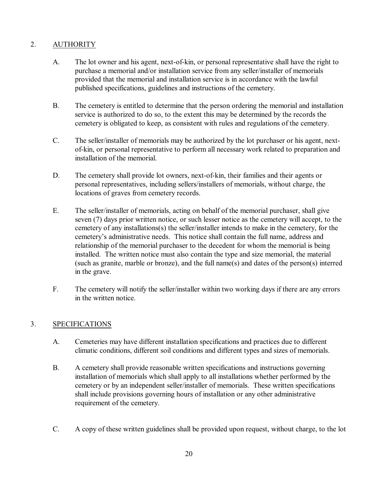# 2. AUTHORITY

- A. The lot owner and his agent, next-of-kin, or personal representative shall have the right to purchase a memorial and/or installation service from any seller/installer of memorials provided that the memorial and installation service is in accordance with the lawful published specifications, guidelines and instructions of the cemetery.
- B. The cemetery is entitled to determine that the person ordering the memorial and installation service is authorized to do so, to the extent this may be determined by the records the cemetery is obligated to keep, as consistent with rules and regulations of the cemetery.
- C. The seller/installer of memorials may be authorized by the lot purchaser or his agent, nextof-kin, or personal representative to perform all necessary work related to preparation and installation of the memorial.
- D. The cemetery shall provide lot owners, next-of-kin, their families and their agents or personal representatives, including sellers/installers of memorials, without charge, the locations of graves from cemetery records.
- E. The seller/installer of memorials, acting on behalf of the memorial purchaser, shall give seven (7) days prior written notice, or such lesser notice as the cemetery will accept, to the cemetery of any installations(s) the seller/installer intends to make in the cemetery, for the cemetery's administrative needs. This notice shall contain the full name, address and relationship of the memorial purchaser to the decedent for whom the memorial is being installed. The written notice must also contain the type and size memorial, the material (such as granite, marble or bronze), and the full name(s) and dates of the person(s) interred in the grave.
- F. The cemetery will notify the seller/installer within two working days if there are any errors in the written notice.

# 3. SPECIFICATIONS

- A. Cemeteries may have different installation specifications and practices due to different climatic conditions, different soil conditions and different types and sizes of memorials.
- B. A cemetery shall provide reasonable written specifications and instructions governing installation of memorials which shall apply to all installations whether performed by the cemetery or by an independent seller/installer of memorials. These written specifications shall include provisions governing hours of installation or any other administrative requirement of the cemetery.
- C. A copy of these written guidelines shall be provided upon request, without charge, to the lot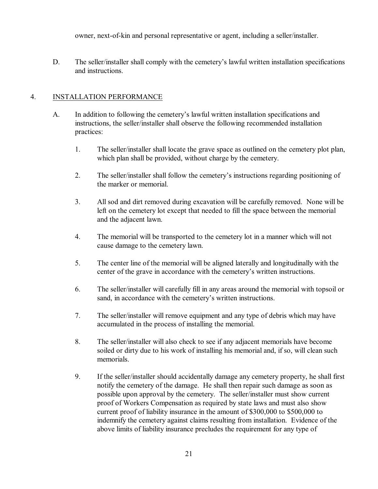owner, next-of-kin and personal representative or agent, including a seller/installer.

D. The seller/installer shall comply with the cemetery's lawful written installation specifications and instructions.

# 4. INSTALLATION PERFORMANCE

- A. In addition to following the cemetery's lawful written installation specifications and instructions, the seller/installer shall observe the following recommended installation practices:
	- 1. The seller/installer shall locate the grave space as outlined on the cemetery plot plan, which plan shall be provided, without charge by the cemetery.
	- 2. The seller/installer shall follow the cemetery's instructions regarding positioning of the marker or memorial.
	- 3. All sod and dirt removed during excavation will be carefully removed. None will be left on the cemetery lot except that needed to fill the space between the memorial and the adjacent lawn.
	- 4. The memorial will be transported to the cemetery lot in a manner which will not cause damage to the cemetery lawn.
	- 5. The center line of the memorial will be aligned laterally and longitudinally with the center of the grave in accordance with the cemetery's written instructions.
	- 6. The seller/installer will carefully fill in any areas around the memorial with topsoil or sand, in accordance with the cemetery's written instructions.
	- 7. The seller/installer will remove equipment and any type of debris which may have accumulated in the process of installing the memorial.
	- 8. The seller/installer will also check to see if any adjacent memorials have become soiled or dirty due to his work of installing his memorial and, if so, will clean such memorials.
	- 9. If the seller/installer should accidentally damage any cemetery property, he shall first notify the cemetery of the damage. He shall then repair such damage as soon as possible upon approval by the cemetery. The seller/installer must show current proof of Workers Compensation as required by state laws and must also show current proof of liability insurance in the amount of \$300,000 to \$500,000 to indemnify the cemetery against claims resulting from installation. Evidence of the above limits of liability insurance precludes the requirement for any type of